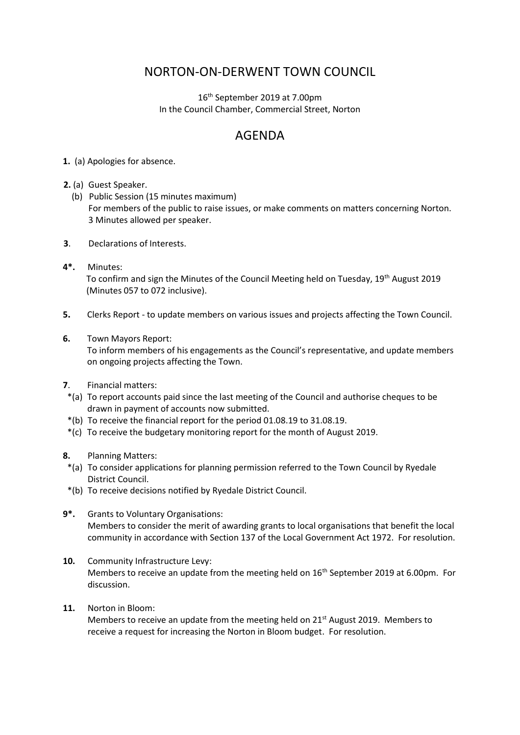## NORTON-ON-DERWENT TOWN COUNCIL

16th September 2019 at 7.00pm In the Council Chamber, Commercial Street, Norton

## AGENDA

- **1.** (a) Apologies for absence.
- **2.** (a) Guest Speaker.
	- (b) Public Session (15 minutes maximum) For members of the public to raise issues, or make comments on matters concerning Norton. 3 Minutes allowed per speaker.
- **3**. Declarations of Interests.
- **4\*.** Minutes: To confirm and sign the Minutes of the Council Meeting held on Tuesday, 19th August 2019 (Minutes 057 to 072 inclusive).
- **5.** Clerks Report to update members on various issues and projects affecting the Town Council.
- **6.** Town Mayors Report:

 To inform members of his engagements as the Council's representative, and update members on ongoing projects affecting the Town.

- **7**. Financial matters:
- \*(a) To report accounts paid since the last meeting of the Council and authorise cheques to be drawn in payment of accounts now submitted.
- \*(b) To receive the financial report for the period 01.08.19 to 31.08.19.
- \*(c) To receive the budgetary monitoring report for the month of August 2019.
- **8.** Planning Matters:
- \*(a) To consider applications for planning permission referred to the Town Council by Ryedale District Council.
- \*(b) To receive decisions notified by Ryedale District Council.
- **9\*.** Grants to Voluntary Organisations: Members to consider the merit of awarding grants to local organisations that benefit the local community in accordance with Section 137 of the Local Government Act 1972. For resolution.
- **10.** Community Infrastructure Levy: Members to receive an update from the meeting held on  $16<sup>th</sup>$  September 2019 at 6.00pm. For discussion.
- **11.** Norton in Bloom:

Members to receive an update from the meeting held on  $21^{st}$  August 2019. Members to receive a request for increasing the Norton in Bloom budget. For resolution.